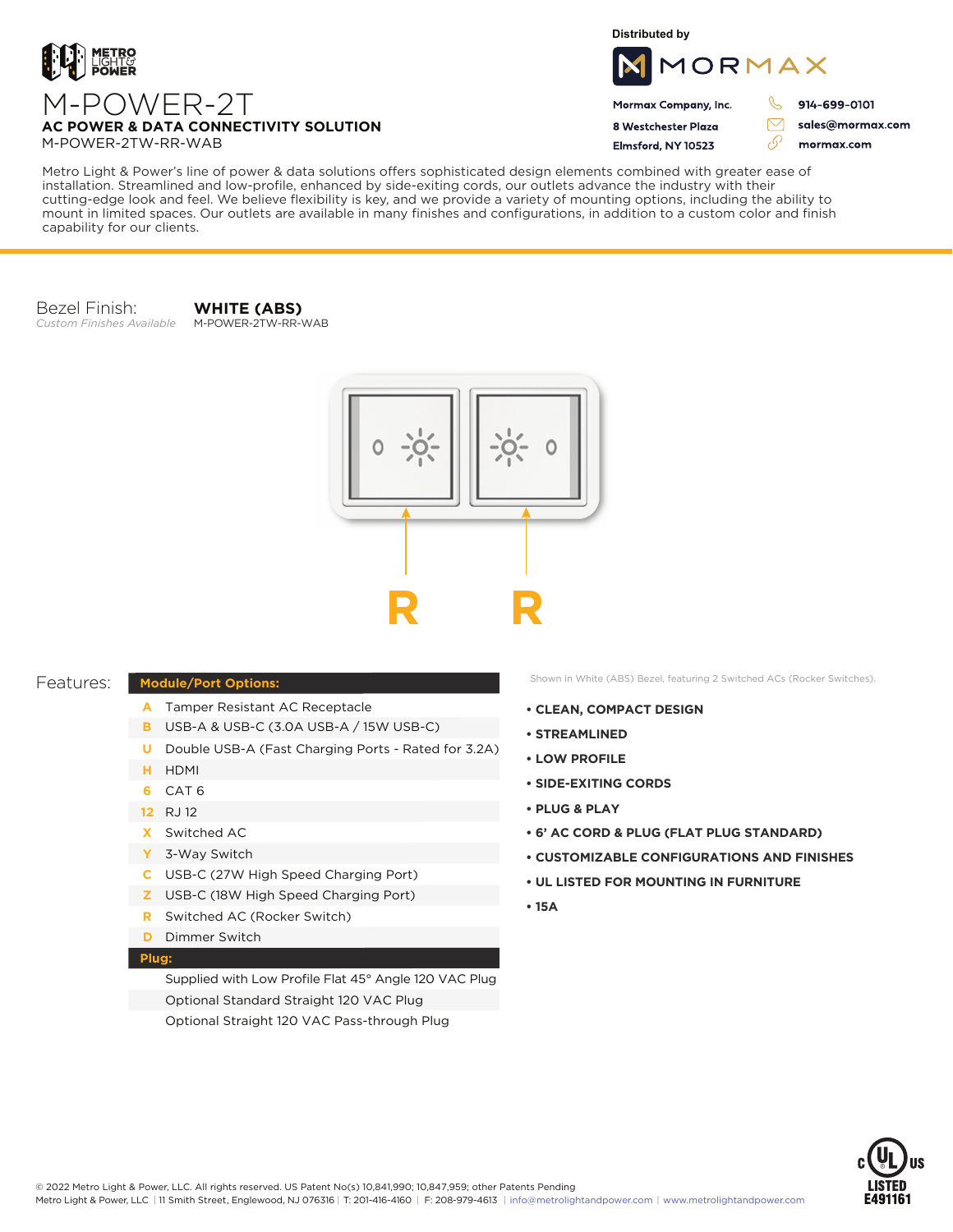

**Distributed by**



Mormax Company, Inc. 8 Westchester Plaza

Elmsford, NY 10523

914-699-0101

 $\triangledown$ 

76

sales@mormax.com mormax.com

M-POWER-2TW-RR-WAB

M-POWER-2T

**AC POWER & DATA CONNECTIVITY SOLUTION**

Metro Light & Power's line of power & data solutions offers sophisticated design elements combined with greater ease of installation. Streamlined and low-profile, enhanced by side-exiting cords, our outlets advance the industry with their cutting-edge look and feel. We believe flexibility is key, and we provide a variety of mounting options, including the ability to mount in limited spaces. Our outlets are available in many finishes and configurations, in addition to a custom color and finish capability for our clients.

Bezel Finish: *Custom Finishes Available*

**WHITE (ABS)** M-POWER-2TW-RR-WAB



## Features:

## **Module/Port Options:**

- A Tamper Resistant AC Receptacle
- USB-A & USB-C (3.0A USB-A / 15W USB-C) **B**
- U Double USB-A (Fast Charging Ports Rated for 3.2A)
- HDMI **H**
- CAT 6 **6**
- 12 RJ 12
- Switched AC **X**
- 3-Way Switch **Y**
- USB-C (27W High Speed Charging Port) **C**
- USB-C (18W High Speed Charging Port) **Z**
- Switched AC (Rocker Switch) **R**
- **D** Dimmer Switch

## **Plug:**

Supplied with Low Profile Flat 45° Angle 120 VAC Plug Optional Standard Straight 120 VAC Plug Optional Straight 120 VAC Pass-through Plug

Shown in White (ABS) Bezel, featuring 2 Switched ACs (Rocker Switches).

- **CLEAN, COMPACT DESIGN**
- **STREAMLINED**
- **LOW PROFILE**
- **SIDE-EXITING CORDS**
- **PLUG & PLAY**
- **6' AC CORD & PLUG (FLAT PLUG STANDARD)**
- **CUSTOMIZABLE CONFIGURATIONS AND FINISHES**
- **UL LISTED FOR MOUNTING IN FURNITURE**
- **15A**